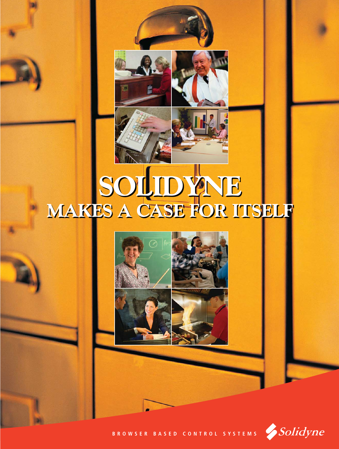

#### **SOLIDYNE MAKES A CASE FOR ITSELF SOLIDYNE MAKES A CASE FOR ITSELF**



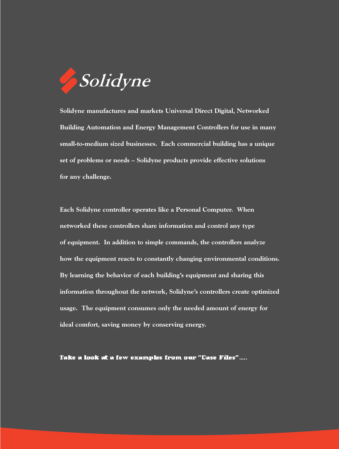

**Solidyne manufactures and markets Universal Direct Digital, Networked Building Automation and Energy Management Controllers for use in many small-to-medium sized businesses. Each commercial building has a unique set of problems or needs – Solidyne products provide effective solutions for any challenge.** 

**Each Solidyne controller operates like a Personal Computer. When networked these controllers share information and control any type of equipment. In addition to simple commands, the controllers analyze how the equipment reacts to constantly changing environmental conditions. By learning the behavior of each building's equipment and sharing this information throughout the network, Solidyne's controllers create optimized usage. The equipment consumes only the needed amount of energy for ideal comfort, saving money by conserving energy.**

Take a look at a few examples from our "Case Files"….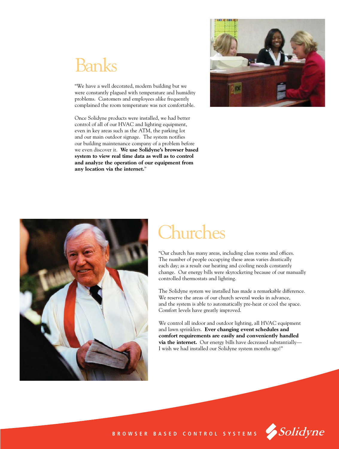#### Banks

"We have a well decorated, modern building but we were constantly plagued with temperature and humidity problems. Customers and employees alike frequently complained the room temperature was not comfortable.

Once Solidyne products were installed, we had better control of all of our HVAC and lighting equipment, even in key areas such as the ATM, the parking lot and our main outdoor signage. The system notifies our building maintenance company of a problem before we even discover it. **We use Solidyne's browser based system to view real time data as well as to control and analyze the operation of our equipment from any location via the internet.**"





#### **Churches**

"Our church has many areas, including class rooms and offices. The number of people occupying these areas varies drastically each day; as a result our heating and cooling needs constantly change. Our energy bills were skyrocketing because of our manually controlled thermostats and lighting.

The Solidyne system we installed has made a remarkable difference. We reserve the areas of our church several weeks in advance, and the system is able to automatically pre-heat or cool the space. Comfort levels have greatly improved.

We control all indoor and outdoor lighting, all HVAC equipment and lawn sprinklers. **Ever changing event schedules and comfort requirements are easily and conveniently handled via the internet.** Our energy bills have decreased substantially— I wish we had installed our Solidyne system months ago!"



**BROWSER BASED CONTROL SYSTEMS**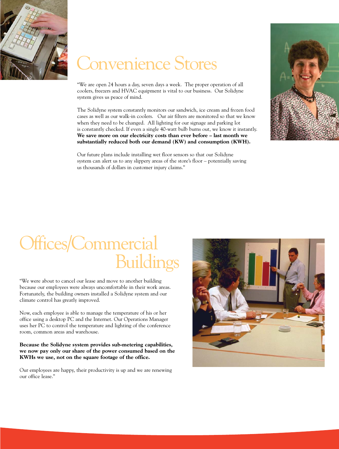

#### Convenience Stores

"We are open 24 hours a day, seven days a week. The proper operation of all coolers, freezers and HVAC equipment is vital to our business. Our Solidyne system gives us peace of mind.

The Solidyne system constantly monitors our sandwich, ice cream and frozen food cases as well as our walk-in coolers. Our air filters are monitored so that we know when they need to be changed. All lighting for our signage and parking lot is constantly checked. If even a single 40-watt bulb burns out, we know it instantly. **We save more on our electricity costs than ever before – last month we substantially reduced both our demand (KW) and consumption (KWH).** 

Our future plans include installing wet floor sensors so that our Solidyne system can alert us to any slippery areas of the store's floor – potentially saving us thousands of dollars in customer injury claims."



#### Offices/Commercial Buildings

"We were about to cancel our lease and move to another building because our employees were always uncomfortable in their work areas. Fortunately, the building owners installed a Solidyne system and our climate control has greatly improved.

Now, each employee is able to manage the temperature of his or her office using a desktop PC and the Internet. Our Operations Manager uses her PC to control the temperature and lighting of the conference room, common areas and warehouse.

**Because the Solidyne system provides sub-metering capabilities, we now pay only our share of the power consumed based on the KWHs we use, not on the square footage of the office.**

Our employees are happy, their productivity is up and we are renewing our office lease."

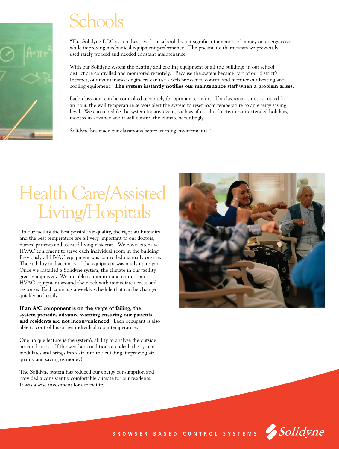#### Schools

"The Solidyne DDC system has saved our school district significant amounts of money on energy costs while improving mechanical equipment performance. The pneumatic thermostats we previously used rarely worked and needed constant maintenance.

With our Solidyne system the heating and cooling equipment of all the buildings in our school district are controlled and monitored remotely. Because the system became part of our district's Intranet, our maintenance engineers can use a web browser to control and monitor our heating and cooling equipment. **The system instantly notifies our maintenance staff when a problem arises.**

Each classroom can be controlled separately for optimum comfort. If a classroom is not occupied for an hour, the wall temperature sensors alert the system to reset room temperature to an energy saving level. We can schedule the system for any event, such as after-school activities or extended holidays, months in advance and it will control the climate accordingly.

Solidyne has made our classrooms better learning environments."

## Health Care/Assisted Living/Hospitals

"In our facility the best possible air quality, the right air humidity and the best temperature are all very important to our doctors, nurses, patients and assisted living residents. We have extensive HVAC equipment to serve each individual room in the building. Previously all HVAC equipment was controlled manually on-site. The stability and accuracy of the equipment was rarely up to par. Once we installed a Solidyne system, the climate in our facility greatly improved. We are able to monitor and control our HVAC equipment around the clock with immediate access and response. Each zone has a weekly schedule that can be changed quickly and easily.

**If an A/C component is on the verge of failing, the system provides advance warning ensuring our patients and residents are not inconvenienced.** Each occupant is also able to control his or her individual room temperature.

One unique feature is the system's ability to analyze the outside air conditions. If the weather conditions are ideal, the system modulates and brings fresh air into the building, improving air quality and saving us money!

The Solidyne system has reduced our energy consumption and provided a consistently comfortable climate for our residents. It was a wise investment for our facility."





**BROWSER BASED CONTROL SYSTEMS**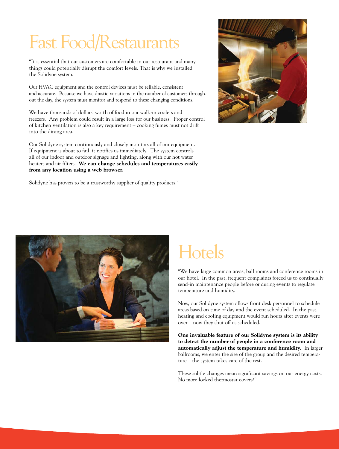# Fast Food/Restaurants

"It is essential that our customers are comfortable in our restaurant and many things could potentially disrupt the comfort levels. That is why we installed the Solidyne system.

Our HVAC equipment and the control devices must be reliable, consistent and accurate. Because we have drastic variations in the number of customers throughout the day, the system must monitor and respond to these changing conditions.

We have thousands of dollars' worth of food in our walk-in coolers and freezers. Any problem could result in a large loss for our business. Proper control of kitchen ventilation is also a key requirement – cooking fumes must not drift into the dining area.

Our Solidyne system continuously and closely monitors all of our equipment. If equipment is about to fail, it notifies us immediately. The system controls all of our indoor and outdoor signage and lighting, along with our hot water heaters and air filters. **We can change schedules and temperatures easily from any location using a web browser.**

Solidyne has proven to be a trustworthy supplier of quality products."





### **Hotels**

"We have large common areas, ball rooms and conference rooms in our hotel. In the past, frequent complaints forced us to continually send-in maintenance people before or during events to regulate temperature and humidity.

Now, our Solidyne system allows front desk personnel to schedule areas based on time of day and the event scheduled. In the past, heating and cooling equipment would run hours after events were over – now they shut off as scheduled.

**One invaluable feature of our Solidyne system is its ability to detect the number of people in a conference room and automatically adjust the temperature and humidity.** In larger ballrooms, we enter the size of the group and the desired temperature – the system takes care of the rest.

These subtle changes mean significant savings on our energy costs. No more locked thermostat covers!"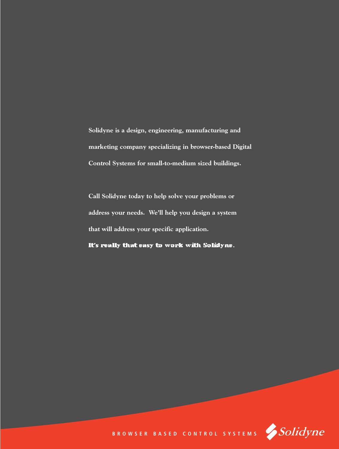**Solidyne is a design, engineering, manufacturing and marketing company specializing in browser-based Digital Control Systems for small-to-medium sized buildings.**

**Call Solidyne today to help solve your problems or address your needs. We'll help you design a system that will address your specific application.** 

It's really that easy to work with Solidyne.